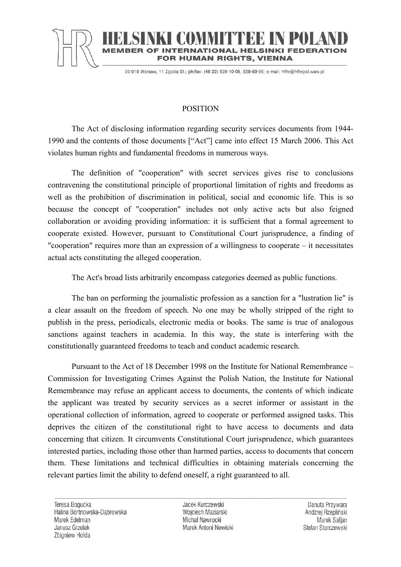

## **TERNATIONAL HELSINKI FEDERA** FOR HUMAN RIGHTS, VIENNA

00-018 Warsaw, 11 Zgoda St.; ph/fax: (48 22) 828-10-08, 828-69-96; e-mail: hfhr@hfhrpol.waw.pl

## POSITION

The Act of disclosing information regarding security services documents from 1944- 1990 and the contents of those documents ["Act"] came into effect 15 March 2006. This Act violates human rights and fundamental freedoms in numerous ways.

The definition of "cooperation" with secret services gives rise to conclusions contravening the constitutional principle of proportional limitation of rights and freedoms as well as the prohibition of discrimination in political, social and economic life. This is so because the concept of "cooperation" includes not only active acts but also feigned collaboration or avoiding providing information: it is sufficient that a formal agreement to cooperate existed. However, pursuant to Constitutional Court jurisprudence, a finding of "cooperation" requires more than an expression of a willingness to cooperate – it necessitates actual acts constituting the alleged cooperation.

The Act's broad lists arbitrarily encompass categories deemed as public functions.

The ban on performing the journalistic profession as a sanction for a "lustration lie" is a clear assault on the freedom of speech. No one may be wholly stripped of the right to publish in the press, periodicals, electronic media or books. The same is true of analogous sanctions against teachers in academia. In this way, the state is interfering with the constitutionally guaranteed freedoms to teach and conduct academic research.

Pursuant to the Act of 18 December 1998 on the Institute for National Remembrance – Commission for Investigating Crimes Against the Polish Nation, the Institute for National Remembrance may refuse an applicant access to documents, the contents of which indicate the applicant was treated by security services as a secret informer or assistant in the operational collection of information, agreed to cooperate or performed assigned tasks. This deprives the citizen of the constitutional right to have access to documents and data concerning that citizen. It circumvents Constitutional Court jurisprudence, which guarantees interested parties, including those other than harmed parties, access to documents that concern them. These limitations and technical difficulties in obtaining materials concerning the relevant parties limit the ability to defend oneself, a right guaranteed to all.

Jacek Kurczewski Wojciech Maziarski Michał Nawrocki Marek Antoni Nowicki